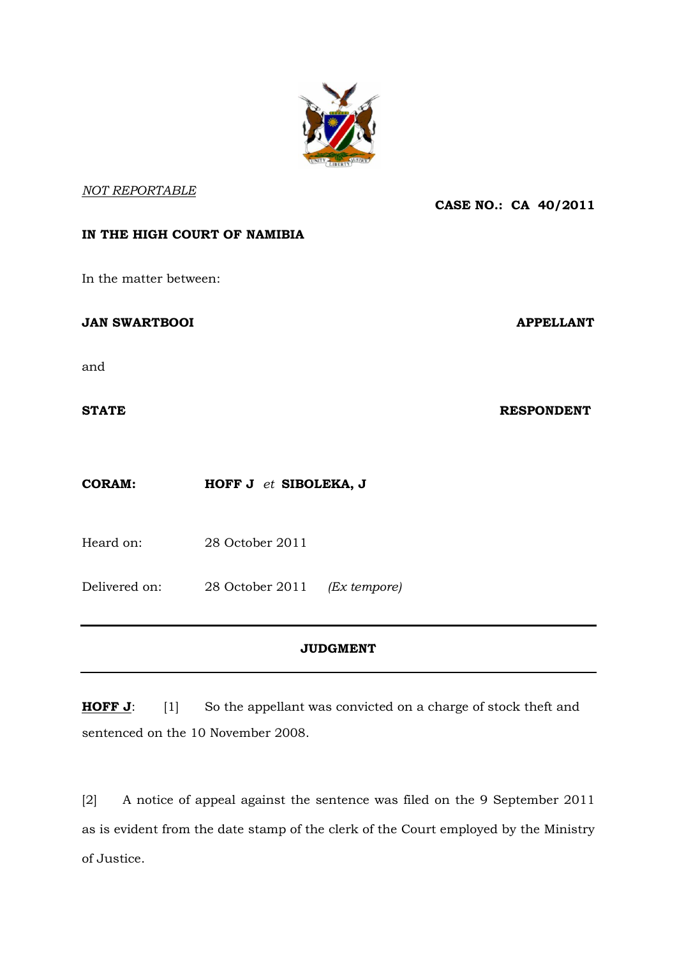

# *NOT REPORTABLE*

### **CASE NO.: CA 40/2011**

# **IN THE HIGH COURT OF NAMIBIA**

In the matter between:

**JAN SWARTBOOI** APPELLANT

and

**STATE** RESPONDENT

**CORAM: HOFF J** *et* **SIBOLEKA, J**

Heard on: 28 October 2011

Delivered on: 28 October 2011 *(Ex tempore)*

# **JUDGMENT**

**HOFF J**: [1] So the appellant was convicted on a charge of stock theft and sentenced on the 10 November 2008.

[2] A notice of appeal against the sentence was filed on the 9 September 2011 as is evident from the date stamp of the clerk of the Court employed by the Ministry of Justice.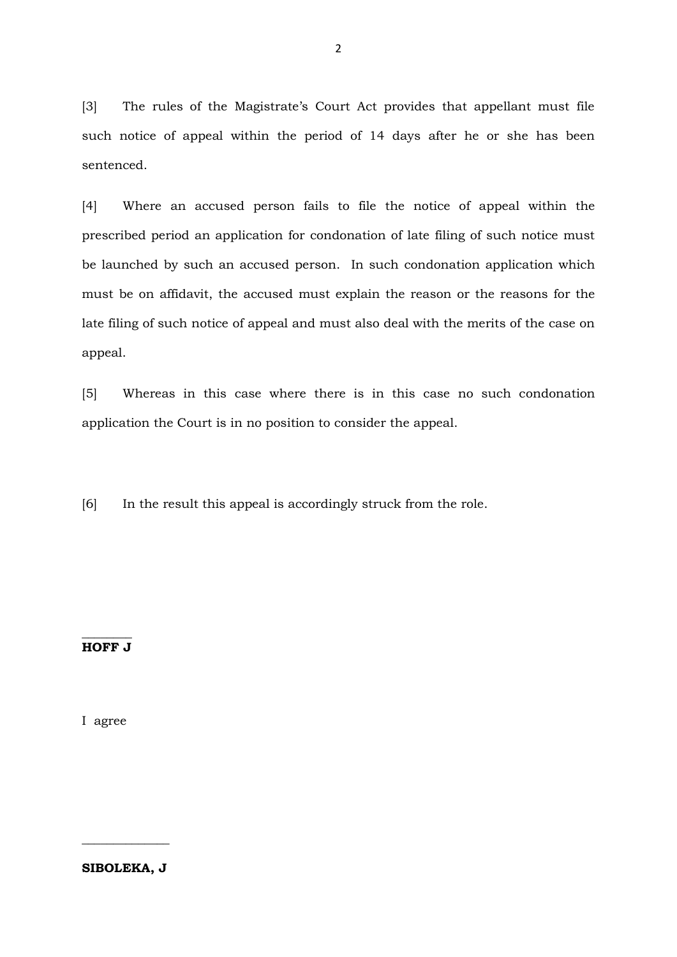[3] The rules of the Magistrate's Court Act provides that appellant must file such notice of appeal within the period of 14 days after he or she has been sentenced.

[4] Where an accused person fails to file the notice of appeal within the prescribed period an application for condonation of late filing of such notice must be launched by such an accused person. In such condonation application which must be on affidavit, the accused must explain the reason or the reasons for the late filing of such notice of appeal and must also deal with the merits of the case on appeal.

[5] Whereas in this case where there is in this case no such condonation application the Court is in no position to consider the appeal.

[6] In the result this appeal is accordingly struck from the role.

#### $\overline{\phantom{a}}$  ,  $\overline{\phantom{a}}$  ,  $\overline{\phantom{a}}$  ,  $\overline{\phantom{a}}$  ,  $\overline{\phantom{a}}$  ,  $\overline{\phantom{a}}$  ,  $\overline{\phantom{a}}$  ,  $\overline{\phantom{a}}$  ,  $\overline{\phantom{a}}$  ,  $\overline{\phantom{a}}$  ,  $\overline{\phantom{a}}$  ,  $\overline{\phantom{a}}$  ,  $\overline{\phantom{a}}$  ,  $\overline{\phantom{a}}$  ,  $\overline{\phantom{a}}$  ,  $\overline{\phantom{a}}$ **HOFF J**

I agree

2

**SIBOLEKA, J**

\_\_\_\_\_\_\_\_\_\_\_\_\_\_